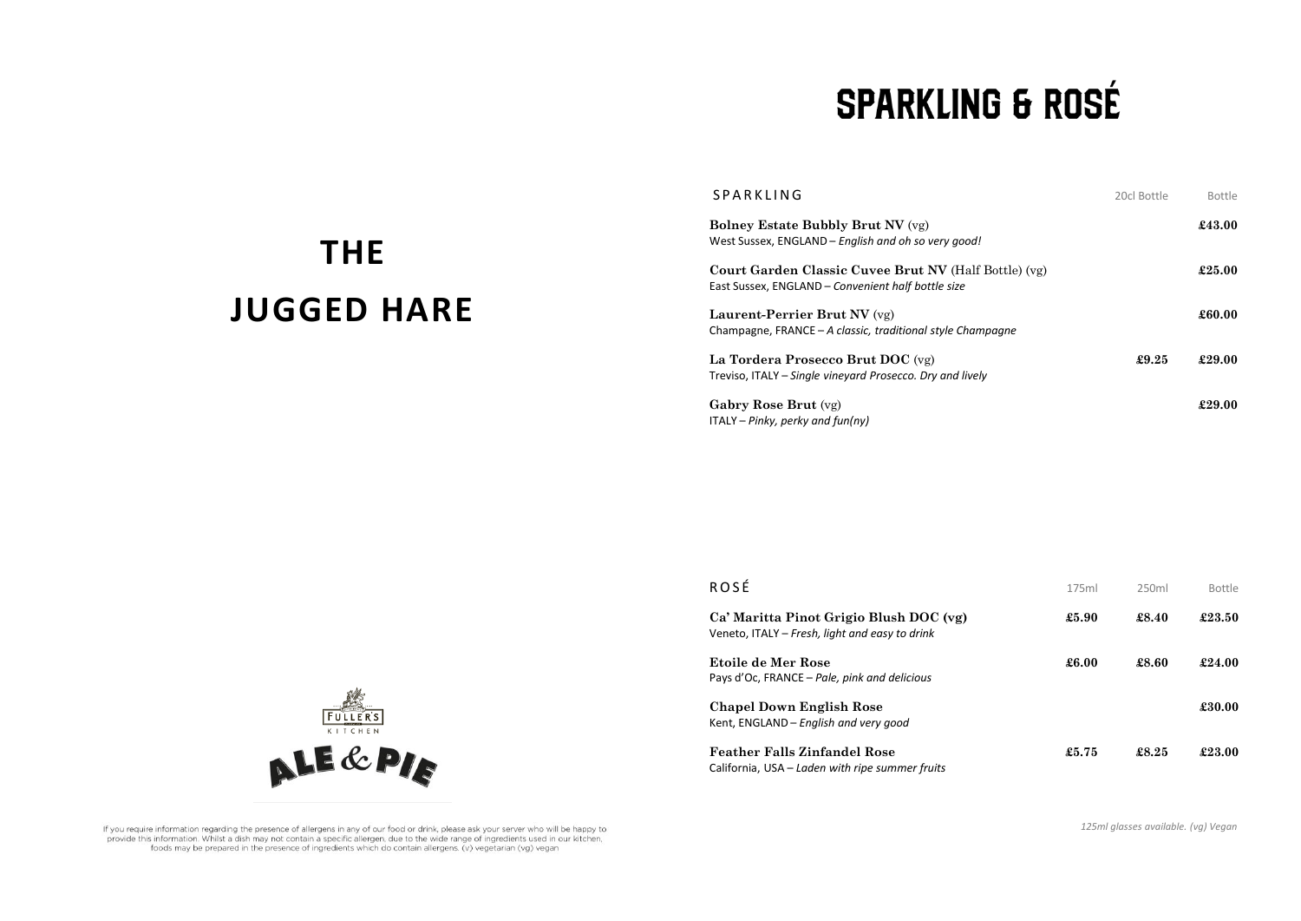## **SPARKLING & ROSÉ**

| <b>SPARKLING</b>                                                                                            | 20cl Bottle | Bottle |
|-------------------------------------------------------------------------------------------------------------|-------------|--------|
| <b>Bolney Estate Bubbly Brut NV</b> (vg)<br>West Sussex, ENGLAND - English and oh so very good!             |             | £43.00 |
| Court Garden Classic Cuvee Brut NV (Half Bottle) (vg)<br>East Sussex, ENGLAND - Convenient half bottle size |             | £25.00 |
| Laurent-Perrier Brut NV (vg)<br>Champagne, FRANCE - A classic, traditional style Champagne                  |             | £60.00 |
| La Tordera Prosecco Brut DOC (vg)<br>Treviso, ITALY – Single vineyard Prosecco. Dry and lively              | £9.25       | £29.00 |
| Gabry Rose Brut (vg)<br>$ITALY - Pinky, perky$ and $fun(ny)$                                                |             | £29.00 |

| ROSÉ                                                                                         | 175ml | 250 <sub>ml</sub> | <b>Bottle</b> |
|----------------------------------------------------------------------------------------------|-------|-------------------|---------------|
| Ca' Maritta Pinot Grigio Blush DOC (vg)<br>Veneto, ITALY - Fresh, light and easy to drink    | £5.90 | £8.40             | £23.50        |
| Etoile de Mer Rose<br>Pays d'Oc, FRANCE – Pale, pink and delicious                           | £6.00 | £8.60             | £24.00        |
| <b>Chapel Down English Rose</b><br>Kent, ENGLAND - English and very good                     |       |                   | £30.00        |
| <b>Feather Falls Zinfandel Rose</b><br>$C$ alifornia $IISA = Iada$ n with ring summer fruits | £5.75 | £8.25             | £23.00        |



**ALE & PIE** 

If you require information regarding the presence of allergens in any of our food or drink, please ask your server who will be happy to provide this information. Whilst a dish may not contain a specific allergen, due to the wide range of ingredients used in our kitchen, foods may be prepared in the presence of ingredients which do contain allergens. (v) vegetarian (vg) vegan

 $FULERS$ 

**THE** 

**JUGGED HARE**

*125ml glasses available. (vg) Vegan*